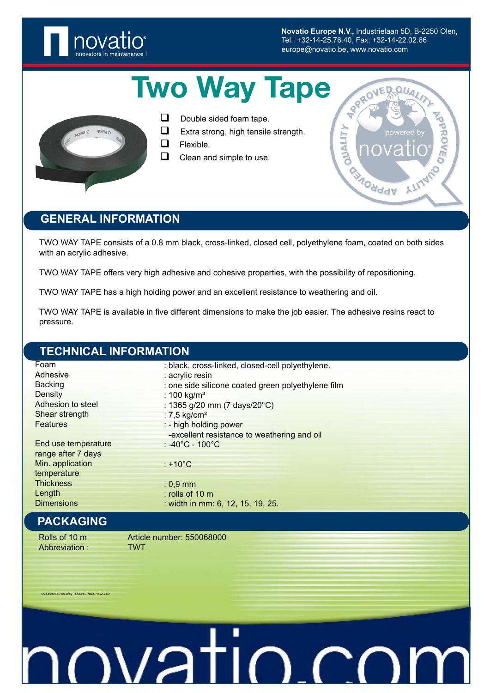

**Novatio Europe N.V.,** Industrielaan 5D, B-2250 Olen, Tel.: +32-14-25.76.40, Fax: +32-14-22.02.66 europe@novatio.be, www.novatio.com

**SPRO** 

**Odddy** 

Ġ

**QUALIT** 

# Two Way Tape



- $\Box$  Double sided foam tape.
- $\Box$  Extra strong, high tensile strength.
- $\Box$  Flexible.
- $\Box$  Clean and simple to use.

## **GENERAL INFORMATION**

TWO WAY TAPE consists of a 0.8 mm black, cross-linked, closed cell, polyethylene foam, coated on both sides with an acrylic adhesive.

TWO WAY TAPE offers very high adhesive and cohesive properties, with the possibility of repositioning.

TWO WAY TAPE has a high holding power and an excellent resistance to weathering and oil.

TWO WAY TAPE is available in five different dimensions to make the job easier. The adhesive resins react to pressure.

#### **TECHNICAL INFORMATION**

| Foam                | : black, cross-linked, closed-cell polyethylene.   |
|---------------------|----------------------------------------------------|
| Adhesive            | : acrylic resin                                    |
| <b>Backing</b>      | : one side silicone coated green polyethylene film |
| Density             | : 100 kg/ $m3$                                     |
| Adhesion to steel   | : 1365 g/20 mm (7 days/20°C)                       |
| Shear strength      | : $7,5$ kg/cm <sup>2</sup>                         |
| <b>Features</b>     | : - high holding power                             |
|                     | -excellent resistance to weathering and oil        |
| End use temperature | $\div$ -40°C - 100°C                               |
| range after 7 days  |                                                    |
| Min. application    | : $+10^{\circ}$ C                                  |
| temperature         |                                                    |
| <b>Thickness</b>    | $: 0.9$ mm                                         |
| Length              | $:$ rolls of 10 m                                  |
| <b>Dimensions</b>   | : width in mm: 6, 12, 15, 19, 25.                  |
| <b>PACKAGING</b>    |                                                    |
| Rolls of 10 m       | Article number: 550068000                          |

Abbreviation : TWT

550068000-Two Way Tape-NL-IND-070329-1/2

# nvatin<u>a</u>